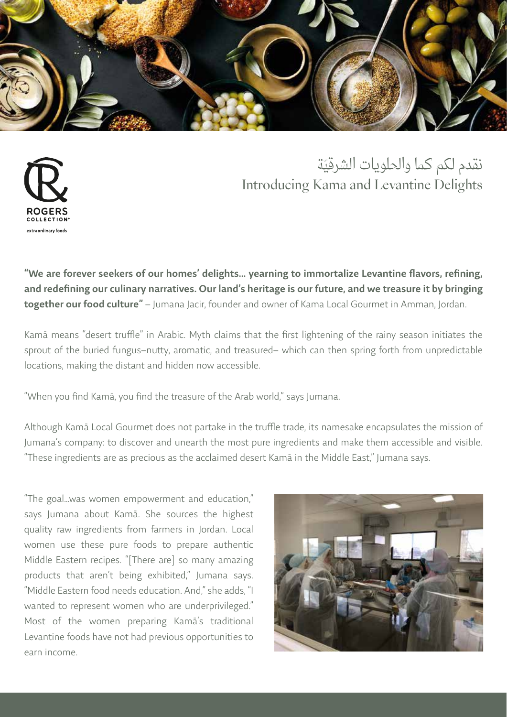

## ّ نقدم لكم كما والحلويات الشرقية Introducing Kama and Levantine Delights



"We are forever seekers of our homes' delights… yearning to immortalize Levantine flavors, refining, and redefining our culinary narratives. Our land's heritage is our future, and we treasure it by bringing together our food culture" - Jumana Jacir, founder and owner of Kama Local Gourmet in Amman, Jordan.

Kamā means "desert truffle" in Arabic. Myth claims that the first lightening of the rainy season initiates the sprout of the buried fungus–nutty, aromatic, and treasured– which can then spring forth from unpredictable locations, making the distant and hidden now accessible.

"When you find Kamā, you find the treasure of the Arab world," says Jumana.

Although Kamā Local Gourmet does not partake in the truffle trade, its namesake encapsulates the mission of Jumana's company: to discover and unearth the most pure ingredients and make them accessible and visible. "These ingredients are as precious as the acclaimed desert Kamā in the Middle East," Jumana says.

"The goal…was women empowerment and education," says Jumana about Kamā. She sources the highest quality raw ingredients from farmers in Jordan. Local women use these pure foods to prepare authentic Middle Eastern recipes. "[There are] so many amazing products that aren't being exhibited," Jumana says. "Middle Eastern food needs education. And," she adds, "I wanted to represent women who are underprivileged." Most of the women preparing Kamā's traditional Levantine foods have not had previous opportunities to earn income.

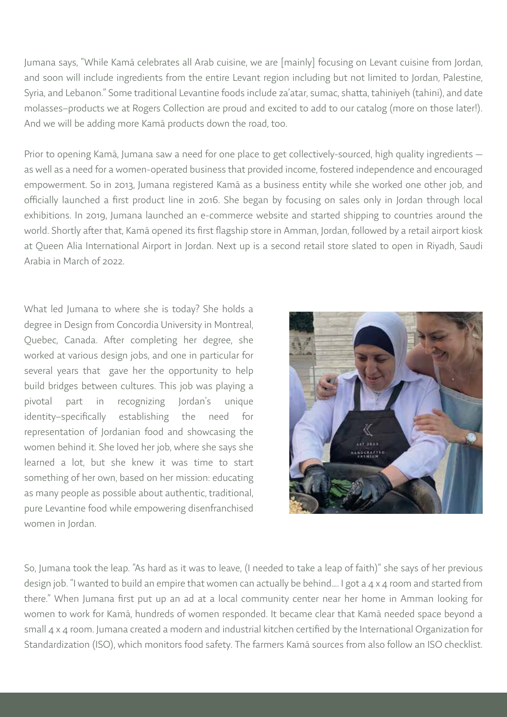Jumana says, "While Kamā celebrates all Arab cuisine, we are [mainly] focusing on Levant cuisine from Jordan, and soon will include ingredients from the entire Levant region including but not limited to Jordan, Palestine, Syria, and Lebanon." Some traditional Levantine foods include za'atar, sumac, shatta, tahiniyeh (tahini), and date molasses–products we at Rogers Collection are proud and excited to add to our catalog (more on those later!). And we will be adding more Kamā products down the road, too.

Prior to opening Kamā, Jumana saw a need for one place to get collectively-sourced, high quality ingredients as well as a need for a women-operated business that provided income, fostered independence and encouraged empowerment. So in 2013, Jumana registered Kamā as a business entity while she worked one other job, and officially launched a first product line in 2016. She began by focusing on sales only in Jordan through local exhibitions. In 2019, Jumana launched an e-commerce website and started shipping to countries around the world. Shortly after that, Kamā opened its first flagship store in Amman, Jordan, followed by a retail airport kiosk at Queen Alia International Airport in Jordan. Next up is a second retail store slated to open in Riyadh, Saudi Arabia in March of 2022.

What led Jumana to where she is today? She holds a degree in Design from Concordia University in Montreal, Quebec, Canada. After completing her degree, she worked at various design jobs, and one in particular for several years that gave her the opportunity to help build bridges between cultures. This job was playing a pivotal part in recognizing Jordan's unique identity–specifically establishing the need for representation of Jordanian food and showcasing the women behind it. She loved her job, where she says she learned a lot, but she knew it was time to start something of her own, based on her mission: educating as many people as possible about authentic, traditional, pure Levantine food while empowering disenfranchised women in Jordan.



So, Jumana took the leap. "As hard as it was to leave, (I needed to take a leap of faith)" she says of her previous design job. "I wanted to build an empire that women can actually be behind.... I got a 4 x 4 room and started from there." When Jumana first put up an ad at a local community center near her home in Amman looking for women to work for Kamā, hundreds of women responded. It became clear that Kamā needed space beyond a small 4 x 4 room. Jumana created a modern and industrial kitchen certified by the International Organization for Standardization (ISO), which monitors food safety. The farmers Kamā sources from also follow an ISO checklist.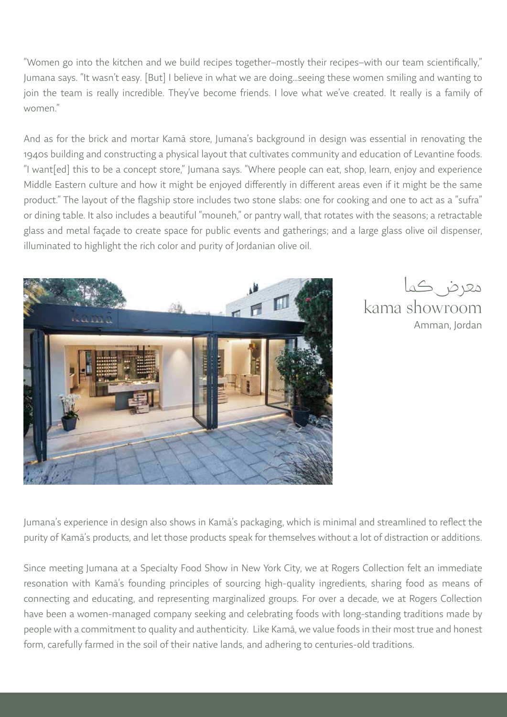"Women go into the kitchen and we build recipes together–mostly their recipes–with our team scientifically," Jumana says. "It wasn't easy. [But] I believe in what we are doing…seeing these women smiling and wanting to join the team is really incredible. They've become friends. I love what we've created. It really is a family of women."

And as for the brick and mortar Kamā store, Jumana's background in design was essential in renovating the 1940s building and constructing a physical layout that cultivates community and education of Levantine foods. "I want[ed] this to be a concept store," Jumana says. "Where people can eat, shop, learn, enjoy and experience Middle Eastern culture and how it might be enjoyed differently in different areas even if it might be the same product." The layout of the flagship store includes two stone slabs: one for cooking and one to act as a "sufra" or dining table. It also includes a beautiful "mouneh," or pantry wall, that rotates with the seasons; a retractable glass and metal façade to create space for public events and gatherings; and a large glass olive oil dispenser, illuminated to highlight the rich color and purity of Jordanian olive oil.





Jumana's experience in design also shows in Kamā's packaging, which is minimal and streamlined to reflect the purity of Kamā's products, and let those products speak for themselves without a lot of distraction or additions.

Since meeting Jumana at a Specialty Food Show in New York City, we at Rogers Collection felt an immediate resonation with Kamā's founding principles of sourcing high-quality ingredients, sharing food as means of connecting and educating, and representing marginalized groups. For over a decade, we at Rogers Collection have been a women-managed company seeking and celebrating foods with long-standing traditions made by people with a commitment to quality and authenticity. Like Kamā, we value foods in their most true and honest form, carefully farmed in the soil of their native lands, and adhering to centuries-old traditions.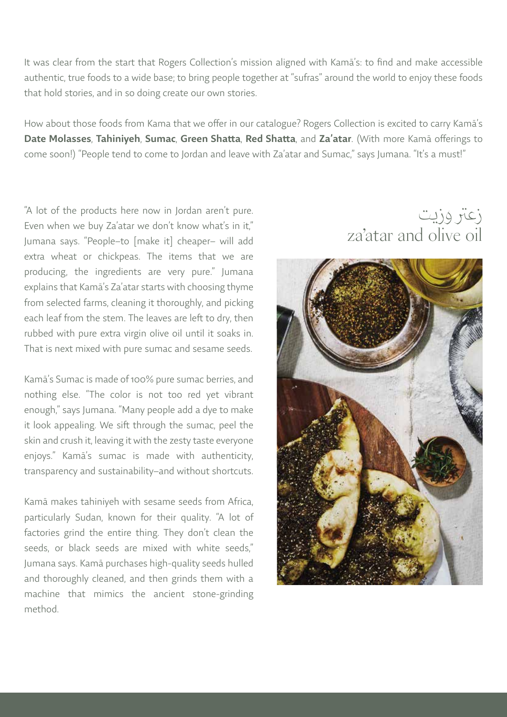It was clear from the start that Rogers Collection's mission aligned with Kamā's: to find and make accessible authentic, true foods to a wide base; to bring people together at "sufras" around the world to enjoy these foods that hold stories, and in so doing create our own stories.

How about those foods from Kama that we offer in our catalogue? Rogers Collection is excited to carry Kamā's Date Molasses, Tahiniyeh, Sumac, Green Shatta, Red Shatta, and Za'atar. (With more Kamā offerings to come soon!) "People tend to come to Jordan and leave with Za'atar and Sumac," says Jumana. "It's a must!"

"A lot of the products here now in Jordan aren't pure. Even when we buy Za'atar we don't know what's in it," Jumana says. "People–to [make it] cheaper– will add extra wheat or chickpeas. The items that we are producing, the ingredients are very pure." Jumana explains that Kamā's Za'atar starts with choosing thyme from selected farms, cleaning it thoroughly, and picking each leaf from the stem. The leaves are left to dry, then rubbed with pure extra virgin olive oil until it soaks in. That is next mixed with pure sumac and sesame seeds.

Kamā's Sumac is made of 100% pure sumac berries, and nothing else. "The color is not too red yet vibrant enough," says Jumana. "Many people add a dye to make it look appealing. We sift through the sumac, peel the skin and crush it, leaving it with the zesty taste everyone enjoys." Kamā's sumac is made with authenticity, transparency and sustainability–and without shortcuts.

Kamā makes tahiniyeh with sesame seeds from Africa, particularly Sudan, known for their quality. "A lot of factories grind the entire thing. They don't clean the seeds, or black seeds are mixed with white seeds," Jumana says. Kamā purchases high-quality seeds hulled and thoroughly cleaned, and then grinds them with a machine that mimics the ancient stone-grinding method.

# زعتر وزيت za'atar and olive oil

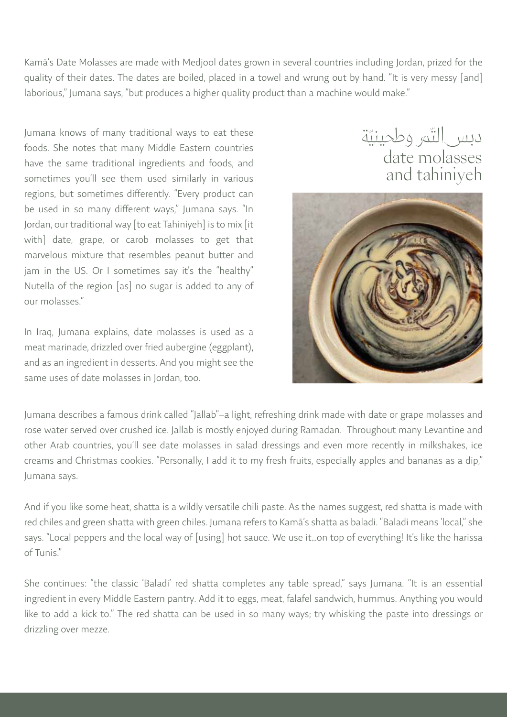Kamā's Date Molasses are made with Medjool dates grown in several countries including Jordan, prized for the quality of their dates. The dates are boiled, placed in a towel and wrung out by hand. "It is very messy [and] laborious," Jumana says, "but produces a higher quality product than a machine would make."

Jumana knows of many traditional ways to eat these foods. She notes that many Middle Eastern countries have the same traditional ingredients and foods, and sometimes you'll see them used similarly in various regions, but sometimes differently. "Every product can be used in so many different ways," Jumana says. "In Jordan, our traditional way [to eat Tahiniyeh] is to mix [it with] date, grape, or carob molasses to get that marvelous mixture that resembles peanut butter and jam in the US. Or I sometimes say it's the "healthy" Nutella of the region [as] no sugar is added to any of our molasses."

In Iraq, Jumana explains, date molasses is used as a meat marinade, drizzled over fried aubergine (eggplant), and as an ingredient in desserts. And you might see the same uses of date molasses in Jordan, too.

دبس|لتّمر وطحينيّة date molasses and tahiniyeh



Jumana describes a famous drink called "Jallab"–a light, refreshing drink made with date or grape molasses and rose water served over crushed ice. Jallab is mostly enjoyed during Ramadan. Throughout many Levantine and other Arab countries, you'll see date molasses in salad dressings and even more recently in milkshakes, ice creams and Christmas cookies. "Personally, I add it to my fresh fruits, especially apples and bananas as a dip," Jumana says.

And if you like some heat, shatta is a wildly versatile chili paste. As the names suggest, red shatta is made with red chiles and green shatta with green chiles. Jumana refers to Kamā's shatta as baladi. "Baladi means 'local," she says. "Local peppers and the local way of [using] hot sauce. We use it…on top of everything! It's like the harissa of Tunis."

She continues: "the classic 'Baladi' red shatta completes any table spread," says Jumana. "It is an essential ingredient in every Middle Eastern pantry. Add it to eggs, meat, falafel sandwich, hummus. Anything you would like to add a kick to." The red shatta can be used in so many ways; try whisking the paste into dressings or drizzling over mezze.